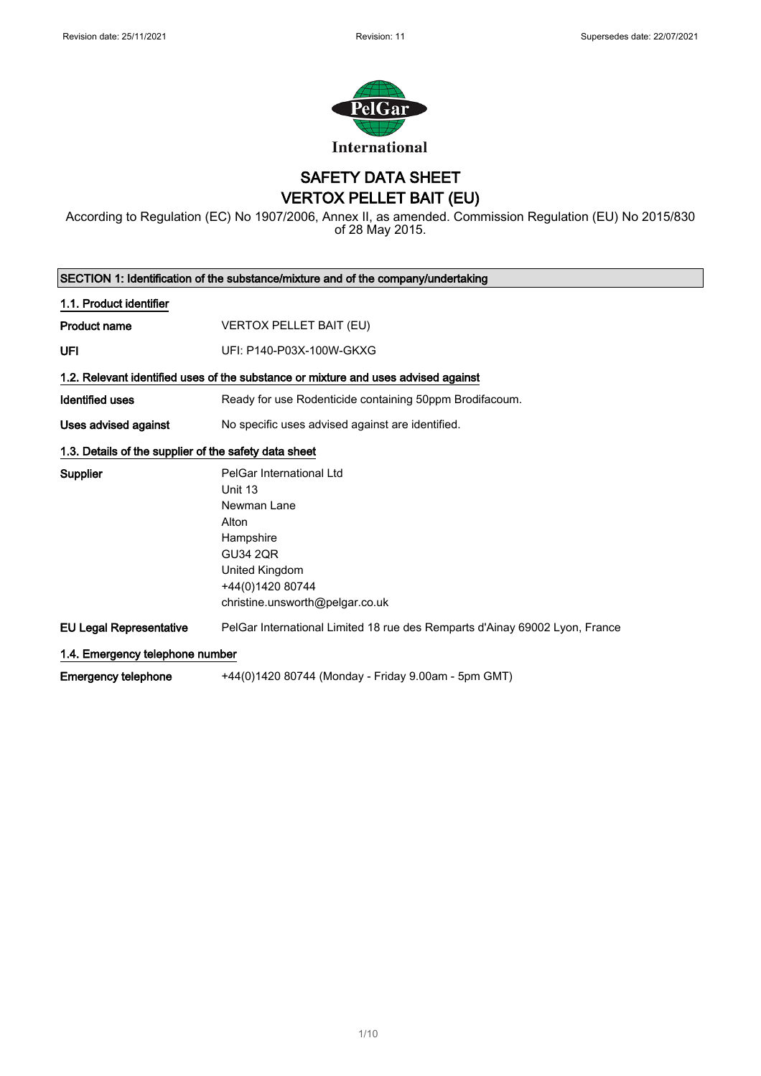

SAFETY DATA SHEET VERTOX PELLET BAIT (EU)

According to Regulation (EC) No 1907/2006, Annex II, as amended. Commission Regulation (EU) No 2015/830 of 28 May 2015.

| SECTION 1: Identification of the substance/mixture and of the company/undertaking |                                                                                    |  |
|-----------------------------------------------------------------------------------|------------------------------------------------------------------------------------|--|
| 1.1. Product identifier                                                           |                                                                                    |  |
| <b>Product name</b>                                                               | <b>VERTOX PELLET BAIT (EU)</b>                                                     |  |
| UFI                                                                               | UFI: P140-P03X-100W-GKXG                                                           |  |
|                                                                                   | 1.2. Relevant identified uses of the substance or mixture and uses advised against |  |
| <b>Identified uses</b>                                                            | Ready for use Rodenticide containing 50ppm Brodifacoum.                            |  |
| Uses advised against                                                              | No specific uses advised against are identified.                                   |  |
| 1.3. Details of the supplier of the safety data sheet                             |                                                                                    |  |
| <b>Supplier</b>                                                                   | PelGar International Ltd                                                           |  |
|                                                                                   | Unit 13                                                                            |  |
|                                                                                   | Newman Lane                                                                        |  |
|                                                                                   | Alton                                                                              |  |
|                                                                                   | Hampshire                                                                          |  |
|                                                                                   | <b>GU34 2QR</b>                                                                    |  |
|                                                                                   | United Kingdom                                                                     |  |
|                                                                                   | +44(0)1420 80744                                                                   |  |
|                                                                                   | christine.unsworth@pelgar.co.uk                                                    |  |
| <b>EU Legal Representative</b>                                                    | PelGar International Limited 18 rue des Remparts d'Ainay 69002 Lyon, France        |  |
| 1.4. Emergency telephone number                                                   |                                                                                    |  |
| Emergency telephone                                                               | +44(0)1420 80744 (Monday - Friday 9.00am - 5pm GMT)                                |  |

1/ 10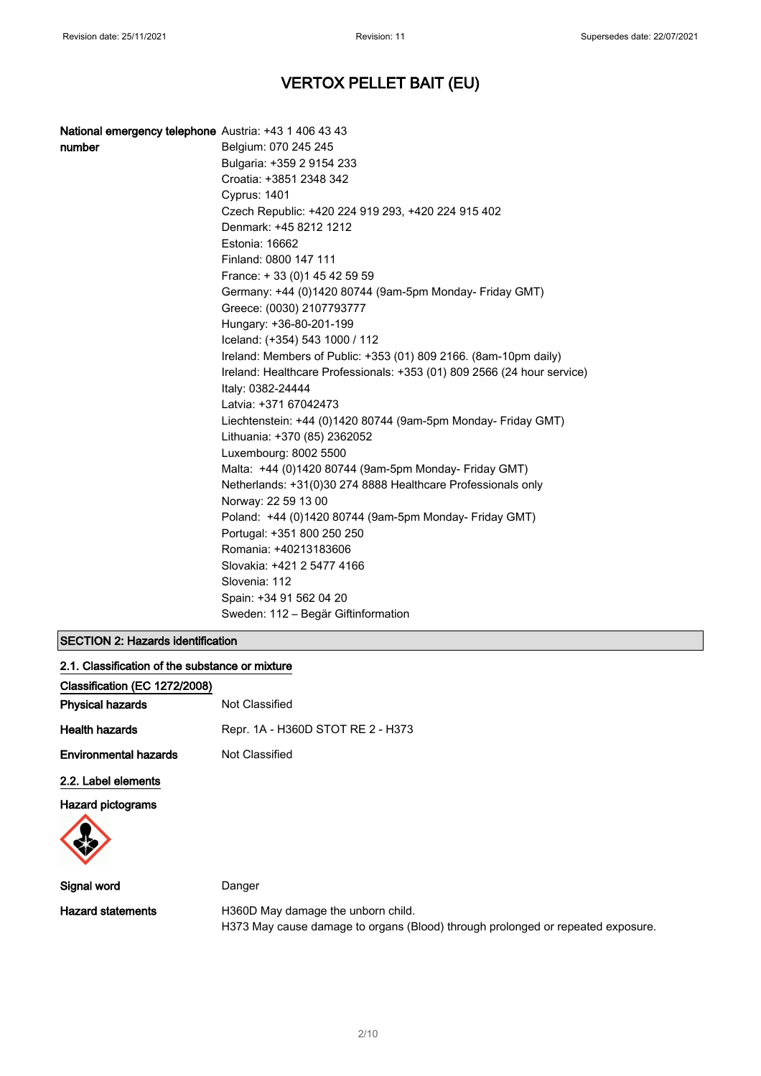| National emergency telephone Austria: +43 1 406 43 43 |                                                                         |
|-------------------------------------------------------|-------------------------------------------------------------------------|
| number                                                | Belgium: 070 245 245                                                    |
|                                                       | Bulgaria: +359 2 9154 233                                               |
|                                                       | Croatia: +3851 2348 342                                                 |
|                                                       | <b>Cyprus: 1401</b>                                                     |
|                                                       | Czech Republic: +420 224 919 293, +420 224 915 402                      |
|                                                       | Denmark: +45 8212 1212                                                  |
|                                                       | Estonia: 16662                                                          |
|                                                       | Finland: 0800 147 111                                                   |
|                                                       | France: +33 (0) 145 42 59 59                                            |
|                                                       | Germany: +44 (0)1420 80744 (9am-5pm Monday- Friday GMT)                 |
|                                                       | Greece: (0030) 2107793777                                               |
|                                                       | Hungary: +36-80-201-199                                                 |
|                                                       | Iceland: (+354) 543 1000 / 112                                          |
|                                                       | Ireland: Members of Public: +353 (01) 809 2166. (8am-10pm daily)        |
|                                                       | Ireland: Healthcare Professionals: +353 (01) 809 2566 (24 hour service) |
|                                                       | Italy: 0382-24444                                                       |
|                                                       | Latvia: +371 67042473                                                   |
|                                                       | Liechtenstein: +44 (0)1420 80744 (9am-5pm Monday- Friday GMT)           |
|                                                       | Lithuania: +370 (85) 2362052                                            |
|                                                       | Luxembourg: 8002 5500                                                   |
|                                                       | Malta: +44 (0)1420 80744 (9am-5pm Monday- Friday GMT)                   |
|                                                       | Netherlands: +31(0)30 274 8888 Healthcare Professionals only            |
|                                                       | Norway: 22 59 13 00                                                     |
|                                                       | Poland: +44 (0)1420 80744 (9am-5pm Monday- Friday GMT)                  |
|                                                       | Portugal: +351 800 250 250                                              |
|                                                       | Romania: +40213183606                                                   |
|                                                       | Slovakia: +421 2 5477 4166                                              |
|                                                       | Slovenia: 112                                                           |
|                                                       | Spain: +34 91 562 04 20                                                 |
|                                                       | Sweden: 112 – Begär Giftinformation                                     |
|                                                       |                                                                         |

# SECTION 2: Hazards identification

| 2.1. Classification of the substance or mixture |                                   |  |
|-------------------------------------------------|-----------------------------------|--|
| Classification (EC 1272/2008)                   |                                   |  |
| <b>Physical hazards</b>                         | Not Classified                    |  |
| <b>Health hazards</b>                           | Repr. 1A - H360D STOT RE 2 - H373 |  |
| <b>Environmental hazards</b>                    | Not Classified                    |  |
| 2.2. Label elements                             |                                   |  |
| Hazard pictograms                               |                                   |  |

| Signal word       | Danger                                                                          |
|-------------------|---------------------------------------------------------------------------------|
| Hazard statements | H360D May damage the unborn child.                                              |
|                   | H373 May cause damage to organs (Blood) through prolonged or repeated exposure. |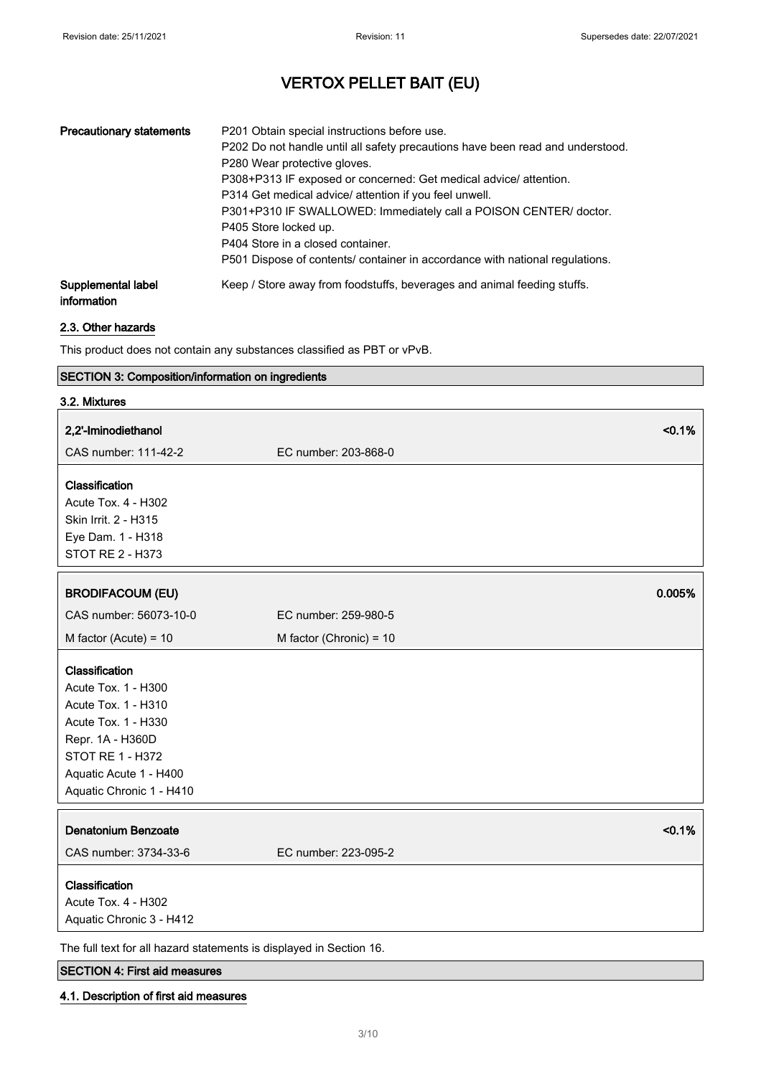| <b>Precautionary statements</b>   | P201 Obtain special instructions before use.<br>P202 Do not handle until all safety precautions have been read and understood.<br>P280 Wear protective gloves.<br>P308+P313 IF exposed or concerned: Get medical advice/ attention.<br>P314 Get medical advice/ attention if you feel unwell.<br>P301+P310 IF SWALLOWED: Immediately call a POISON CENTER/ doctor.<br>P405 Store locked up.<br>P404 Store in a closed container.<br>P501 Dispose of contents/ container in accordance with national regulations. |
|-----------------------------------|------------------------------------------------------------------------------------------------------------------------------------------------------------------------------------------------------------------------------------------------------------------------------------------------------------------------------------------------------------------------------------------------------------------------------------------------------------------------------------------------------------------|
| Supplemental label<br>information | Keep / Store away from foodstuffs, beverages and animal feeding stuffs.                                                                                                                                                                                                                                                                                                                                                                                                                                          |

## 2.3. Other hazards

This product does not contain any substances classified as PBT or vPvB.

## SECTION 3: Composition/information on ingredients

| 3.2. Mixtures                                                                                                                                                                     |                                |
|-----------------------------------------------------------------------------------------------------------------------------------------------------------------------------------|--------------------------------|
| 2,2'-Iminodiethanol                                                                                                                                                               | < 0.1%                         |
| CAS number: 111-42-2                                                                                                                                                              | EC number: 203-868-0           |
| Classification<br>Acute Tox. 4 - H302                                                                                                                                             |                                |
| Skin Irrit. 2 - H315<br>Eye Dam. 1 - H318<br>STOT RE 2 - H373                                                                                                                     |                                |
| <b>BRODIFACOUM (EU)</b>                                                                                                                                                           | 0.005%                         |
| CAS number: 56073-10-0                                                                                                                                                            | EC number: 259-980-5           |
| M factor (Acute) = $10$                                                                                                                                                           | M factor (Chronic) = 10        |
| Classification<br>Acute Tox. 1 - H300<br>Acute Tox. 1 - H310<br>Acute Tox. 1 - H330<br>Repr. 1A - H360D<br>STOT RE 1 - H372<br>Aquatic Acute 1 - H400<br>Aquatic Chronic 1 - H410 |                                |
| <b>Denatonium Benzoate</b><br>CAS number: 3734-33-6                                                                                                                               | < 0.1%<br>EC number: 223-095-2 |
| Classification<br>Acute Tox. 4 - H302<br>Aquatic Chronic 3 - H412                                                                                                                 |                                |
| The full text for all hazard statements is displayed in Section 16.                                                                                                               |                                |

## SECTION 4: First aid measures

### 4.1. Description of first aid measures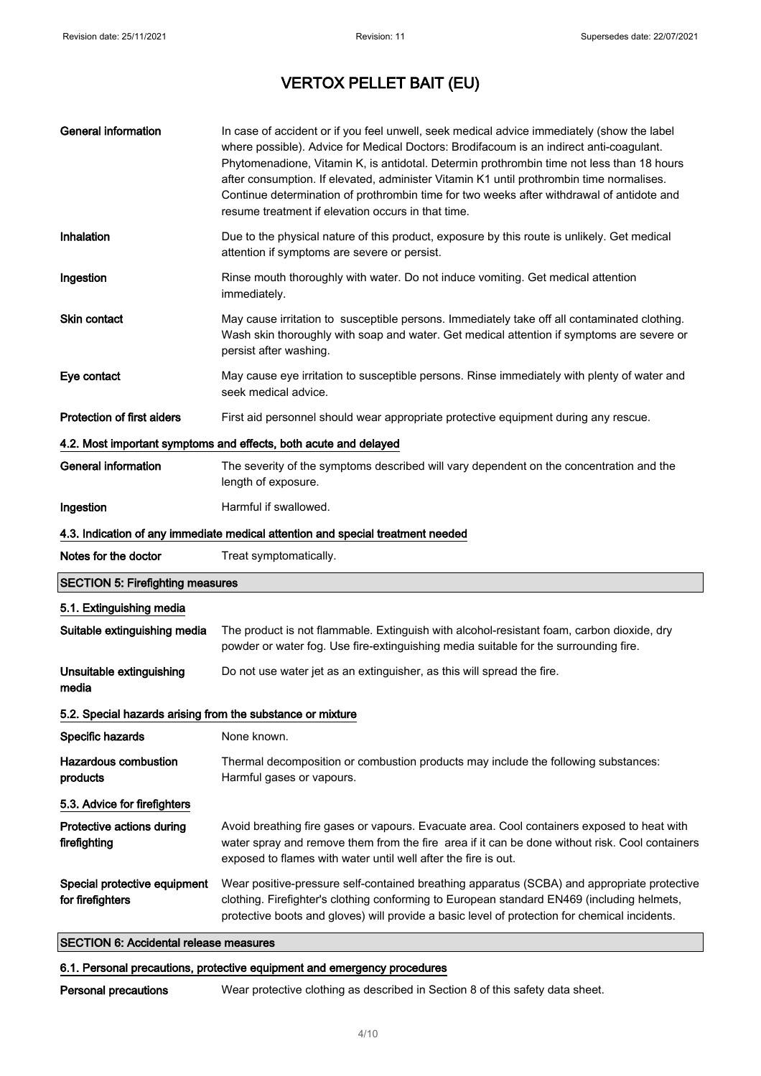| <b>General information</b>                                       | In case of accident or if you feel unwell, seek medical advice immediately (show the label<br>where possible). Advice for Medical Doctors: Brodifacoum is an indirect anti-coagulant.<br>Phytomenadione, Vitamin K, is antidotal. Determin prothrombin time not less than 18 hours<br>after consumption. If elevated, administer Vitamin K1 until prothrombin time normalises.<br>Continue determination of prothrombin time for two weeks after withdrawal of antidote and<br>resume treatment if elevation occurs in that time. |  |
|------------------------------------------------------------------|-----------------------------------------------------------------------------------------------------------------------------------------------------------------------------------------------------------------------------------------------------------------------------------------------------------------------------------------------------------------------------------------------------------------------------------------------------------------------------------------------------------------------------------|--|
| Inhalation                                                       | Due to the physical nature of this product, exposure by this route is unlikely. Get medical<br>attention if symptoms are severe or persist.                                                                                                                                                                                                                                                                                                                                                                                       |  |
| Ingestion                                                        | Rinse mouth thoroughly with water. Do not induce vomiting. Get medical attention<br>immediately.                                                                                                                                                                                                                                                                                                                                                                                                                                  |  |
| Skin contact                                                     | May cause irritation to susceptible persons. Immediately take off all contaminated clothing.<br>Wash skin thoroughly with soap and water. Get medical attention if symptoms are severe or<br>persist after washing.                                                                                                                                                                                                                                                                                                               |  |
| Eye contact                                                      | May cause eye irritation to susceptible persons. Rinse immediately with plenty of water and<br>seek medical advice.                                                                                                                                                                                                                                                                                                                                                                                                               |  |
| Protection of first aiders                                       | First aid personnel should wear appropriate protective equipment during any rescue.                                                                                                                                                                                                                                                                                                                                                                                                                                               |  |
| 4.2. Most important symptoms and effects, both acute and delayed |                                                                                                                                                                                                                                                                                                                                                                                                                                                                                                                                   |  |
| <b>General information</b>                                       | The severity of the symptoms described will vary dependent on the concentration and the<br>length of exposure.                                                                                                                                                                                                                                                                                                                                                                                                                    |  |
| Ingestion                                                        | Harmful if swallowed.                                                                                                                                                                                                                                                                                                                                                                                                                                                                                                             |  |
|                                                                  | 4.3. Indication of any immediate medical attention and special treatment needed                                                                                                                                                                                                                                                                                                                                                                                                                                                   |  |
| Notes for the doctor                                             | Treat symptomatically.                                                                                                                                                                                                                                                                                                                                                                                                                                                                                                            |  |
| <b>SECTION 5: Firefighting measures</b>                          |                                                                                                                                                                                                                                                                                                                                                                                                                                                                                                                                   |  |
| 5.1. Extinguishing media                                         |                                                                                                                                                                                                                                                                                                                                                                                                                                                                                                                                   |  |
| Suitable extinguishing media                                     | The product is not flammable. Extinguish with alcohol-resistant foam, carbon dioxide, dry<br>powder or water fog. Use fire-extinguishing media suitable for the surrounding fire.                                                                                                                                                                                                                                                                                                                                                 |  |
| Unsuitable extinguishing<br>media                                | Do not use water jet as an extinguisher, as this will spread the fire.                                                                                                                                                                                                                                                                                                                                                                                                                                                            |  |
| 5.2. Special hazards arising from the substance or mixture       |                                                                                                                                                                                                                                                                                                                                                                                                                                                                                                                                   |  |
| Specific hazards                                                 | None known.                                                                                                                                                                                                                                                                                                                                                                                                                                                                                                                       |  |
| <b>Hazardous combustion</b><br>products                          | Thermal decomposition or combustion products may include the following substances:<br>Harmful gases or vapours.                                                                                                                                                                                                                                                                                                                                                                                                                   |  |
| 5.3. Advice for firefighters                                     |                                                                                                                                                                                                                                                                                                                                                                                                                                                                                                                                   |  |
| Protective actions during<br>firefighting                        | Avoid breathing fire gases or vapours. Evacuate area. Cool containers exposed to heat with<br>water spray and remove them from the fire area if it can be done without risk. Cool containers<br>exposed to flames with water until well after the fire is out.                                                                                                                                                                                                                                                                    |  |
| Special protective equipment<br>for firefighters                 | Wear positive-pressure self-contained breathing apparatus (SCBA) and appropriate protective<br>clothing. Firefighter's clothing conforming to European standard EN469 (including helmets,<br>protective boots and gloves) will provide a basic level of protection for chemical incidents.                                                                                                                                                                                                                                        |  |
| <b>SECTION 6: Accidental release measures</b>                    |                                                                                                                                                                                                                                                                                                                                                                                                                                                                                                                                   |  |

# 6.1. Personal precautions, protective equipment and emergency procedures

Personal precautions Wear protective clothing as described in Section 8 of this safety data sheet.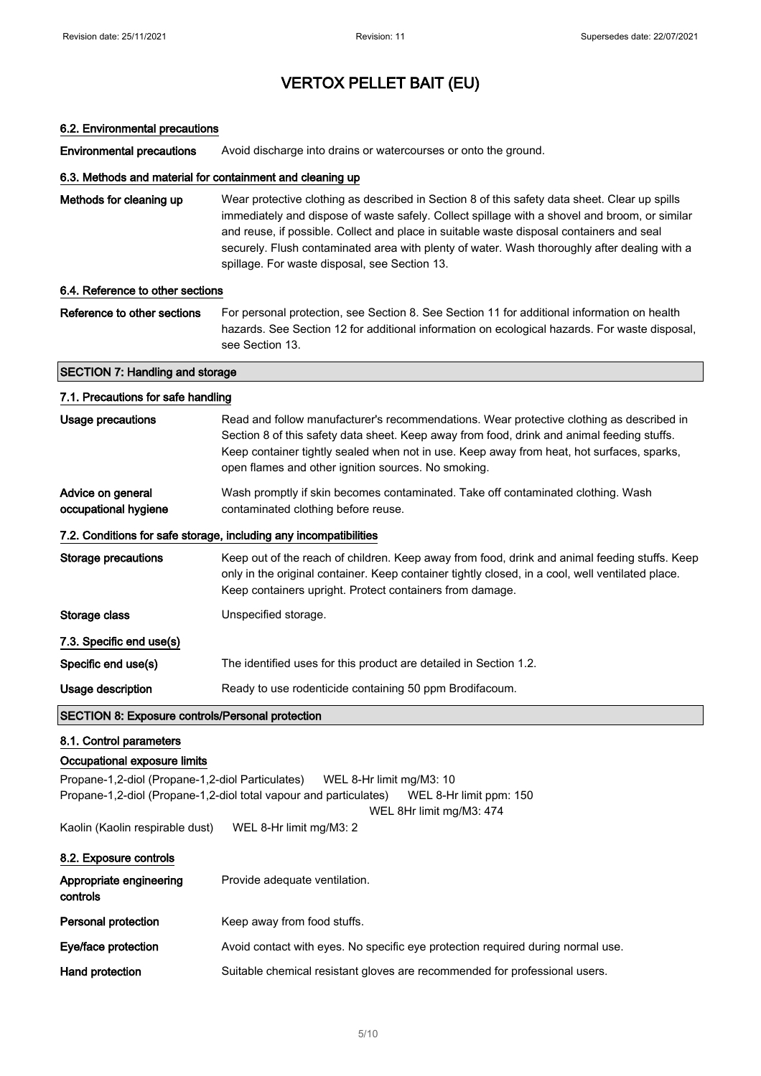### 6.2. Environmental precautions

Environmental precautions Avoid discharge into drains or watercourses or onto the ground.

### 6.3. Methods and material for containment and cleaning up

| Methods for cleaning up | Wear protective clothing as described in Section 8 of this safety data sheet. Clear up spills |
|-------------------------|-----------------------------------------------------------------------------------------------|
|                         | immediately and dispose of waste safely. Collect spillage with a shovel and broom, or similar |
|                         | and reuse, if possible. Collect and place in suitable waste disposal containers and seal      |
|                         | securely. Flush contaminated area with plenty of water. Wash thoroughly after dealing with a  |
|                         | spillage. For waste disposal, see Section 13.                                                 |

### 6.4. Reference to other sections

Reference to other sections For personal protection, see Section 8. See Section 11 for additional information on health hazards. See Section 12 for additional information on ecological hazards. For waste disposal, see Section 13.

### SECTION 7: Handling and storage

# 7.1. Precautions for safe handling Usage precautions **Read and follow manufacturer's recommendations**. Wear protective clothing as described in Section 8 of this safety data sheet. Keep away from food, drink and animal feeding stuffs. Keep container tightly sealed when not in use. Keep away from heat, hot surfaces, sparks, open flames and other ignition sources. No smoking. Advice on general occupational hygiene Wash promptly if skin becomes contaminated. Take off contaminated clothing. Wash contaminated clothing before reuse. 7.2. Conditions for safe storage, including any incompatibilities Storage precautions Keep out of the reach of children. Keep away from food, drink and animal feeding stuffs. Keep only in the original container. Keep container tightly closed, in a cool, well ventilated place. Keep containers upright. Protect containers from damage. Storage class Unspecified storage. 7.3. Specific end use(s) Specific end use(s) The identified uses for this product are detailed in Section 1.2. Usage description **Ready to use rodenticide containing 50 ppm Brodifacoum.** SECTION 8: Exposure controls/Personal protection

#### 8.1. Control parameters

### Occupational exposure limits

Propane-1,2-diol (Propane-1,2-diol Particulates) WEL 8-Hr limit mg/M3: 10 Propane-1,2-diol (Propane-1,2-diol total vapour and particulates) WEL 8-Hr limit ppm: 150

WEL 8Hr limit mg/M3: 474

Kaolin (Kaolin respirable dust) WEL 8-Hr limit mg/M3: 2

| 8.2. Exposure controls              |                                                                                 |
|-------------------------------------|---------------------------------------------------------------------------------|
| Appropriate engineering<br>controls | Provide adequate ventilation.                                                   |
| <b>Personal protection</b>          | Keep away from food stuffs.                                                     |
| Eye/face protection                 | Avoid contact with eyes. No specific eye protection required during normal use. |
| Hand protection                     | Suitable chemical resistant gloves are recommended for professional users.      |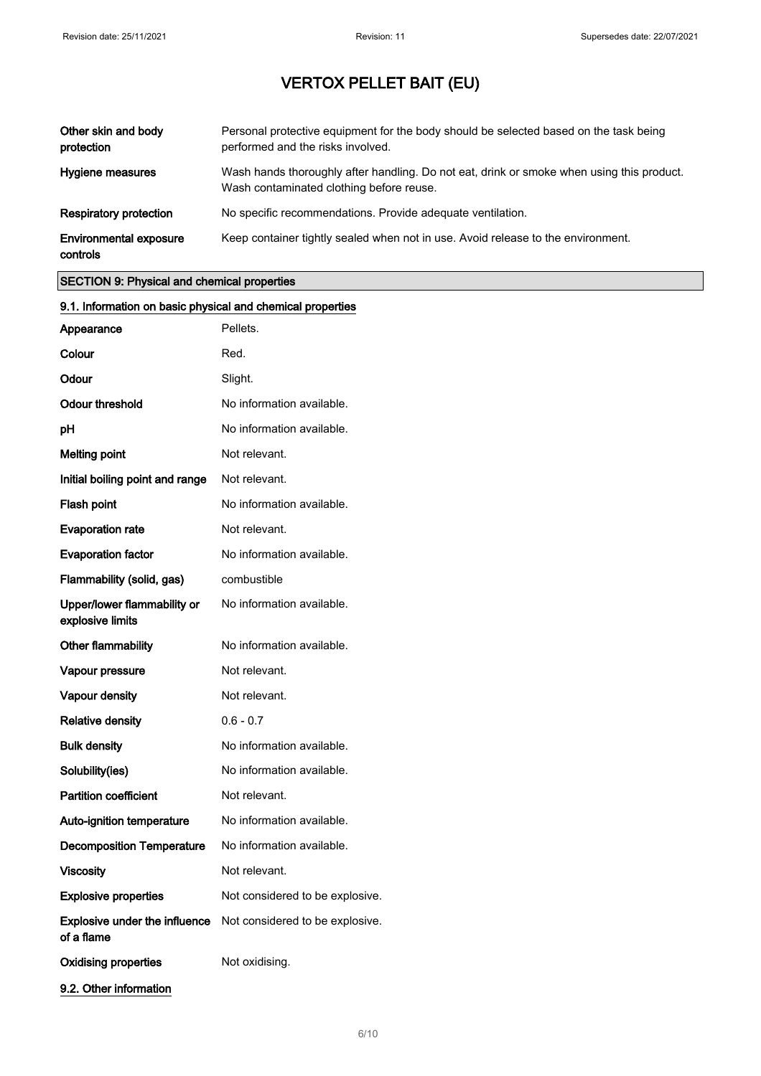| Other skin and body<br>protection         | Personal protective equipment for the body should be selected based on the task being<br>performed and the risks involved.            |
|-------------------------------------------|---------------------------------------------------------------------------------------------------------------------------------------|
| Hygiene measures                          | Wash hands thoroughly after handling. Do not eat, drink or smoke when using this product.<br>Wash contaminated clothing before reuse. |
| <b>Respiratory protection</b>             | No specific recommendations. Provide adequate ventilation.                                                                            |
| <b>Environmental exposure</b><br>controls | Keep container tightly sealed when not in use. Avoid release to the environment.                                                      |

# SECTION 9: Physical and chemical properties

| 9.1. Information on basic physical and chemical properties |                                 |
|------------------------------------------------------------|---------------------------------|
| Appearance                                                 | Pellets.                        |
| Colour                                                     | Red.                            |
| Odour                                                      | Slight.                         |
| Odour threshold                                            | No information available.       |
| рH                                                         | No information available.       |
| <b>Melting point</b>                                       | Not relevant.                   |
| Initial boiling point and range                            | Not relevant.                   |
| Flash point                                                | No information available.       |
| <b>Evaporation rate</b>                                    | Not relevant.                   |
| <b>Evaporation factor</b>                                  | No information available.       |
| Flammability (solid, gas)                                  | combustible                     |
| Upper/lower flammability or<br>explosive limits            | No information available.       |
| Other flammability                                         | No information available.       |
| Vapour pressure                                            | Not relevant.                   |
| Vapour density                                             | Not relevant.                   |
| <b>Relative density</b>                                    | $0.6 - 0.7$                     |
| <b>Bulk density</b>                                        | No information available.       |
| Solubility(ies)                                            | No information available.       |
| <b>Partition coefficient</b>                               | Not relevant.                   |
| Auto-ignition temperature                                  | No information available.       |
| <b>Decomposition Temperature</b>                           | No information available.       |
| <b>Viscosity</b>                                           | Not relevant.                   |
| <b>Explosive properties</b>                                | Not considered to be explosive. |
| Explosive under the influence<br>of a flame                | Not considered to be explosive. |
| <b>Oxidising properties</b>                                | Not oxidising.                  |
| 9.2. Other information                                     |                                 |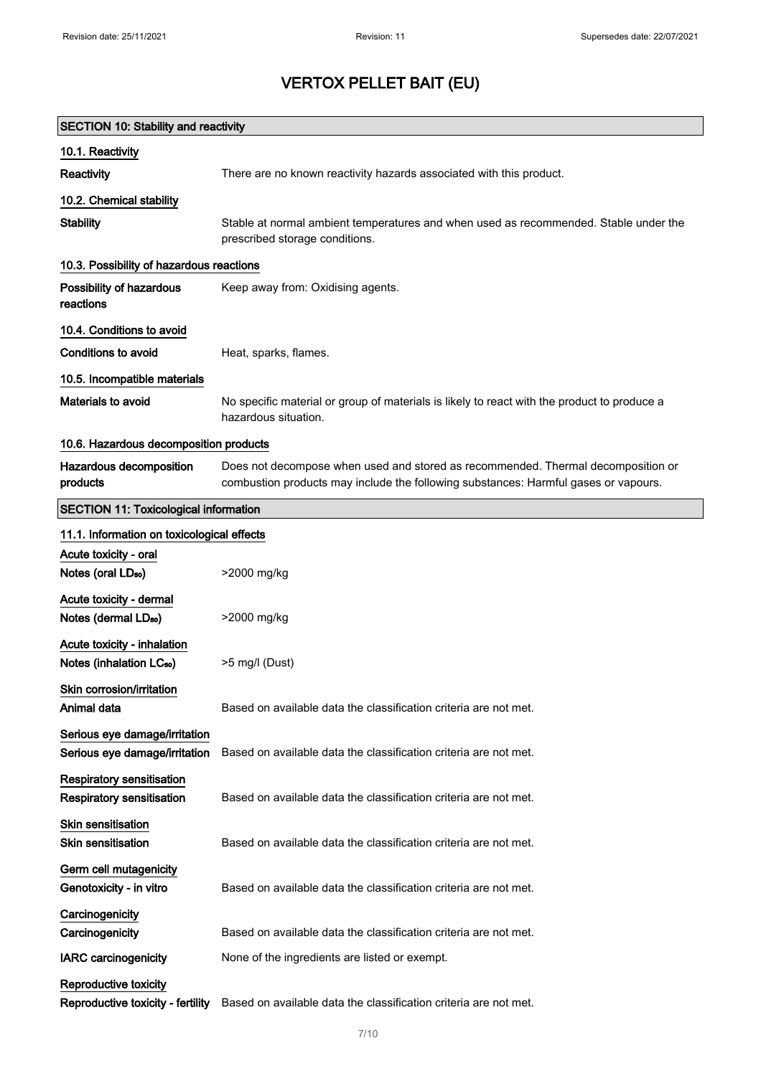| <b>SECTION 10: Stability and reactivity</b>                         |                                                                                                                                                                         |  |
|---------------------------------------------------------------------|-------------------------------------------------------------------------------------------------------------------------------------------------------------------------|--|
| 10.1. Reactivity                                                    |                                                                                                                                                                         |  |
| Reactivity                                                          | There are no known reactivity hazards associated with this product.                                                                                                     |  |
| 10.2. Chemical stability                                            |                                                                                                                                                                         |  |
| <b>Stability</b>                                                    | Stable at normal ambient temperatures and when used as recommended. Stable under the<br>prescribed storage conditions.                                                  |  |
| 10.3. Possibility of hazardous reactions                            |                                                                                                                                                                         |  |
| Possibility of hazardous<br>reactions                               | Keep away from: Oxidising agents.                                                                                                                                       |  |
| 10.4. Conditions to avoid                                           |                                                                                                                                                                         |  |
| Conditions to avoid                                                 | Heat, sparks, flames.                                                                                                                                                   |  |
| 10.5. Incompatible materials                                        |                                                                                                                                                                         |  |
| Materials to avoid                                                  | No specific material or group of materials is likely to react with the product to produce a<br>hazardous situation.                                                     |  |
| 10.6. Hazardous decomposition products                              |                                                                                                                                                                         |  |
| Hazardous decomposition<br>products                                 | Does not decompose when used and stored as recommended. Thermal decomposition or<br>combustion products may include the following substances: Harmful gases or vapours. |  |
| <b>SECTION 11: Toxicological information</b>                        |                                                                                                                                                                         |  |
| 11.1. Information on toxicological effects                          |                                                                                                                                                                         |  |
| Acute toxicity - oral                                               |                                                                                                                                                                         |  |
| Notes (oral LD <sub>50</sub> )                                      | >2000 mg/kg                                                                                                                                                             |  |
| Acute toxicity - dermal                                             |                                                                                                                                                                         |  |
| Notes (dermal LD <sub>50</sub> )                                    | >2000 mg/kg                                                                                                                                                             |  |
| Acute toxicity - inhalation<br>Notes (inhalation LC <sub>50</sub> ) | >5 mg/l (Dust)                                                                                                                                                          |  |
| Skin corrosion/irritation<br>Animal data                            | Based on available data the classification criteria are not met.                                                                                                        |  |
| Serious eye damage/irritation<br>Serious eye damage/irritation      | Based on available data the classification criteria are not met.                                                                                                        |  |
| Respiratory sensitisation                                           |                                                                                                                                                                         |  |
| Respiratory sensitisation                                           | Based on available data the classification criteria are not met.                                                                                                        |  |
| Skin sensitisation<br><b>Skin sensitisation</b>                     | Based on available data the classification criteria are not met.                                                                                                        |  |
| Germ cell mutagenicity<br>Genotoxicity - in vitro                   | Based on available data the classification criteria are not met.                                                                                                        |  |
| Carcinogenicity<br>Carcinogenicity                                  | Based on available data the classification criteria are not met.                                                                                                        |  |
| <b>IARC</b> carcinogenicity                                         | None of the ingredients are listed or exempt.                                                                                                                           |  |
| Reproductive toxicity<br>Reproductive toxicity - fertility          | Based on available data the classification criteria are not met.                                                                                                        |  |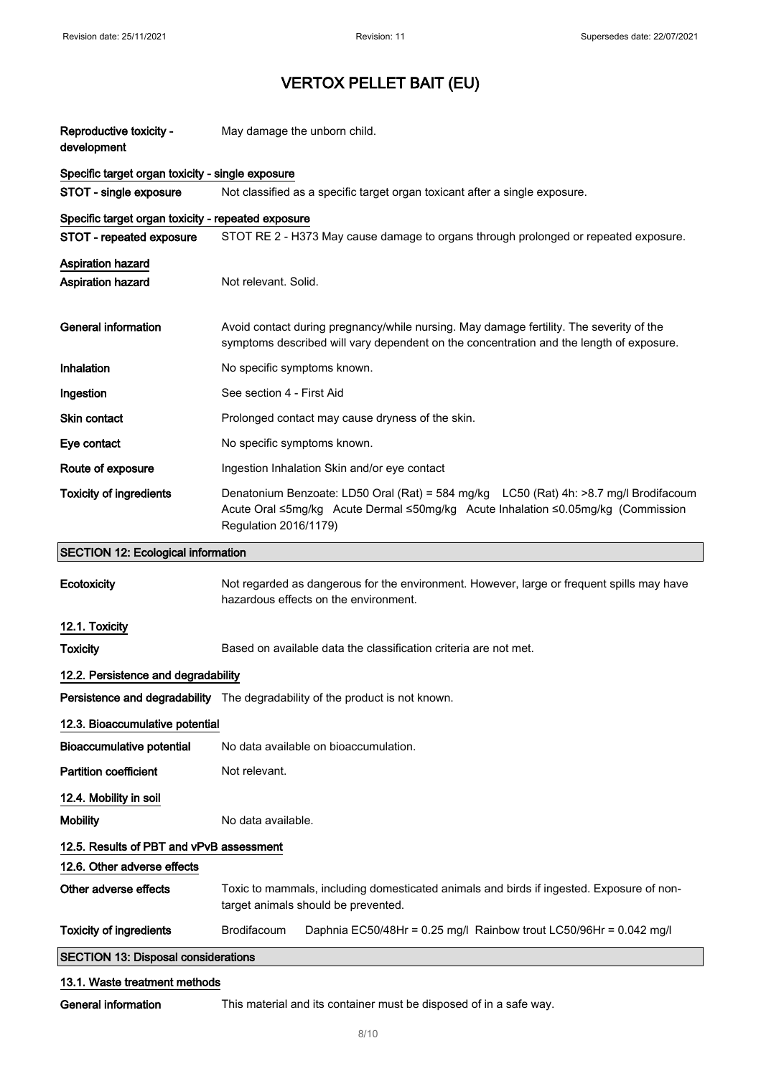| Reproductive toxicity -<br>development             | May damage the unborn child.                                                                                                                                                                       |  |
|----------------------------------------------------|----------------------------------------------------------------------------------------------------------------------------------------------------------------------------------------------------|--|
| Specific target organ toxicity - single exposure   |                                                                                                                                                                                                    |  |
| STOT - single exposure                             | Not classified as a specific target organ toxicant after a single exposure.                                                                                                                        |  |
| Specific target organ toxicity - repeated exposure |                                                                                                                                                                                                    |  |
| STOT - repeated exposure                           | STOT RE 2 - H373 May cause damage to organs through prolonged or repeated exposure.                                                                                                                |  |
| Aspiration hazard<br><b>Aspiration hazard</b>      | Not relevant. Solid.                                                                                                                                                                               |  |
| <b>General information</b>                         | Avoid contact during pregnancy/while nursing. May damage fertility. The severity of the<br>symptoms described will vary dependent on the concentration and the length of exposure.                 |  |
| Inhalation                                         | No specific symptoms known.                                                                                                                                                                        |  |
| Ingestion                                          | See section 4 - First Aid                                                                                                                                                                          |  |
| Skin contact                                       | Prolonged contact may cause dryness of the skin.                                                                                                                                                   |  |
| Eye contact                                        | No specific symptoms known.                                                                                                                                                                        |  |
| Route of exposure                                  | Ingestion Inhalation Skin and/or eye contact                                                                                                                                                       |  |
| <b>Toxicity of ingredients</b>                     | Denatonium Benzoate: LD50 Oral (Rat) = 584 mg/kg LC50 (Rat) 4h: >8.7 mg/l Brodifacoum<br>Acute Oral ≤5mg/kg Acute Dermal ≤50mg/kg Acute Inhalation ≤0.05mg/kg (Commission<br>Regulation 2016/1179) |  |
| <b>SECTION 12: Ecological information</b>          |                                                                                                                                                                                                    |  |
| Ecotoxicity                                        | Not regarded as dangerous for the environment. However, large or frequent spills may have<br>hazardous effects on the environment.                                                                 |  |
| 12.1. Toxicity                                     |                                                                                                                                                                                                    |  |
| <b>Toxicity</b>                                    | Based on available data the classification criteria are not met.                                                                                                                                   |  |
| 12.2. Persistence and degradability                |                                                                                                                                                                                                    |  |
|                                                    | Persistence and degradability The degradability of the product is not known.                                                                                                                       |  |
| 12.3. Bioaccumulative potential                    |                                                                                                                                                                                                    |  |
| <b>Bioaccumulative potential</b>                   | No data available on bioaccumulation.                                                                                                                                                              |  |
| <b>Partition coefficient</b>                       | Not relevant.                                                                                                                                                                                      |  |
| 12.4. Mobility in soil                             |                                                                                                                                                                                                    |  |
| <b>Mobility</b>                                    | No data available.                                                                                                                                                                                 |  |
| 12.5. Results of PBT and vPvB assessment           |                                                                                                                                                                                                    |  |
| 12.6. Other adverse effects                        |                                                                                                                                                                                                    |  |
| Other adverse effects                              | Toxic to mammals, including domesticated animals and birds if ingested. Exposure of non-<br>target animals should be prevented.                                                                    |  |
| <b>Toxicity of ingredients</b>                     | Brodifacoum<br>Daphnia EC50/48Hr = 0.25 mg/l Rainbow trout LC50/96Hr = 0.042 mg/l                                                                                                                  |  |
| <b>SECTION 13: Disposal considerations</b>         |                                                                                                                                                                                                    |  |
| 13.1. Waste treatment methods                      |                                                                                                                                                                                                    |  |

General information This material and its container must be disposed of in a safe way.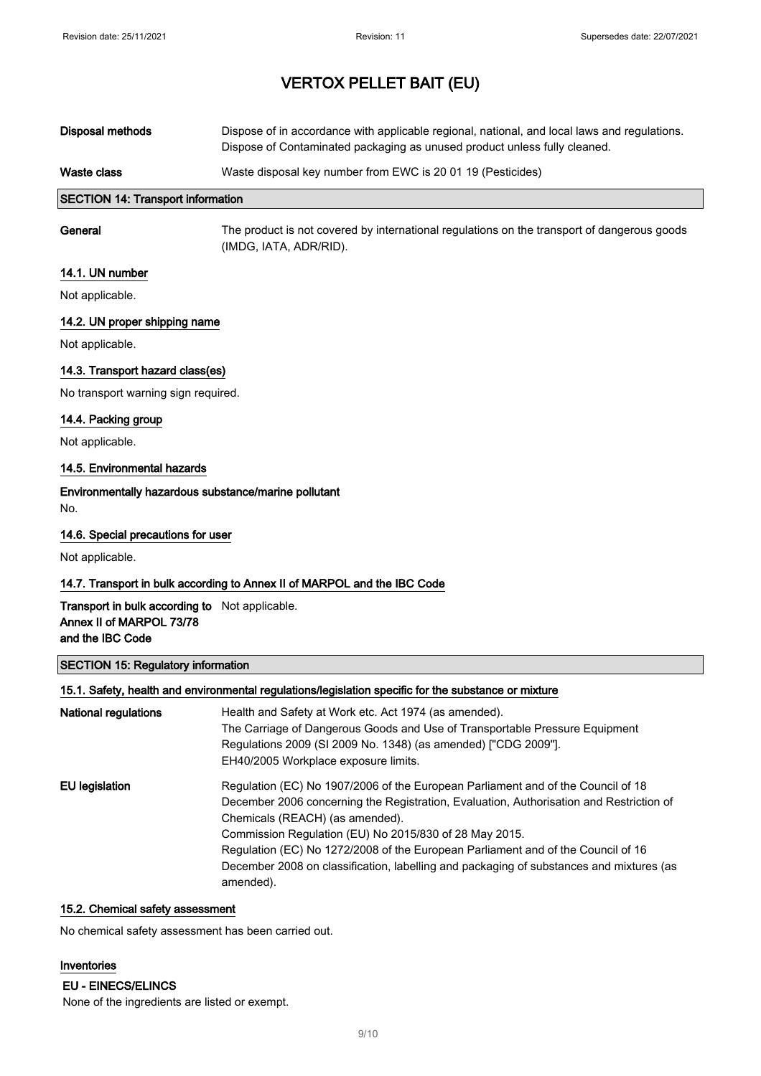| Waste class      | Waste disposal key number from EWC is 20 01 19 (Pesticides)                                                                                                               |
|------------------|---------------------------------------------------------------------------------------------------------------------------------------------------------------------------|
| Disposal methods | Dispose of in accordance with applicable regional, national, and local laws and regulations.<br>Dispose of Contaminated packaging as unused product unless fully cleaned. |

## SECTION 14: Transport information

General The product is not covered by international regulations on the transport of dangerous goods (IMDG, IATA, ADR/RID).

#### 14.1. UN number

Not applicable.

### 14.2. UN proper shipping name

Not applicable.

## 14.3. Transport hazard class(es)

No transport warning sign required.

### 14.4. Packing group

Not applicable.

### 14.5. Environmental hazards

# Environmentally hazardous substance/marine pollutant

No.

### 14.6. Special precautions for user

Not applicable.

### 14.7. Transport in bulk according to Annex II of MARPOL and the IBC Code

### Transport in bulk according to Not applicable. Annex II of MARPOL 73/78 and the IBC Code

## SECTION 15: Regulatory information

#### 15.1. Safety, health and environmental regulations/legislation specific for the substance or mixture

| National regulations | Health and Safety at Work etc. Act 1974 (as amended).<br>The Carriage of Dangerous Goods and Use of Transportable Pressure Equipment<br>Regulations 2009 (SI 2009 No. 1348) (as amended) ["CDG 2009"].<br>EH40/2005 Workplace exposure limits.                                                                                                                                                                                                                       |
|----------------------|----------------------------------------------------------------------------------------------------------------------------------------------------------------------------------------------------------------------------------------------------------------------------------------------------------------------------------------------------------------------------------------------------------------------------------------------------------------------|
| EU legislation       | Regulation (EC) No 1907/2006 of the European Parliament and of the Council of 18<br>December 2006 concerning the Registration, Evaluation, Authorisation and Restriction of<br>Chemicals (REACH) (as amended).<br>Commission Regulation (EU) No 2015/830 of 28 May 2015.<br>Regulation (EC) No 1272/2008 of the European Parliament and of the Council of 16<br>December 2008 on classification, labelling and packaging of substances and mixtures (as<br>amended). |

## 15.2. Chemical safety assessment

No chemical safety assessment has been carried out.

### Inventories

EU - EINECS/ELINCS

None of the ingredients are listed or exempt.